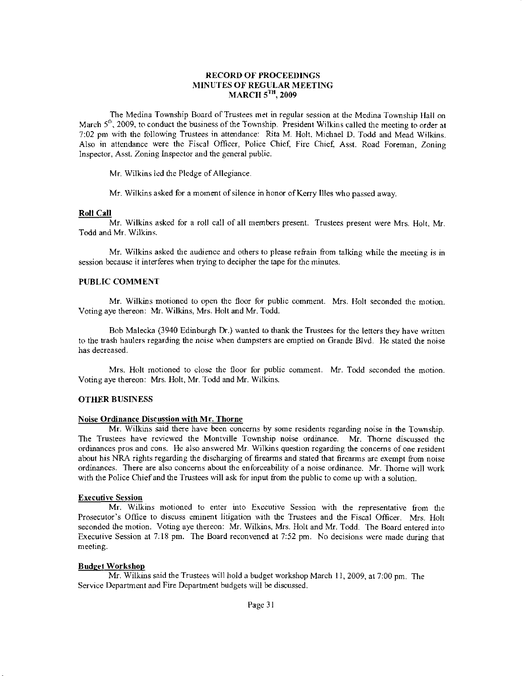### RECORD OF PROCEEDINGS MINUTES OF REGULAR MEETING MARCH 5<sup>TH</sup>, 2009

The Medina Township Board of Trustees met in regular session at the Medina Township Hall on March  $5<sup>th</sup>$ , 2009, to conduct the business of the Township. President Wilkins called the meeting to order at 7:02 pm with the following Trustees in attendanca: Rita M. Holt, Michael D. Todd and Mead Wilkins. Also in attendance were the Fiscal Officer, Police Chief, Fire Chief, Asst. Road Foreman. Zoning lnspector, Asst. Zoning lnspector and the general public.

Mr. Wilkins led the Pledge of Allegiance.

Mr. Wilkins asked for a moment of silence in honor of Kerry llles who passed away.

#### Roll Cell

Mr. Wilkins asked for a roll call of all members present. Trustees present were Mrs. Holt, Mr. Todd and Mr. Wilkins.

Mr. Wilkins asked the audience and others to please refrain from talking while the meeting is in session because it interferes when trying to decipher the tape for the minutes.

# PUBLIC COMMENT

Mr. Wilkins motioned to open the floor for public comment. Mrs. Holt seconded the notion. Voting aye thereon: Mr. Wilkins, Mrs. Holt and Mr. Todd.

Bob Malecka (3940 Edinburgh Dr.) wanted to drank the Trustees for the letters they have wrirten to tbe hash haulers regarding the noise when dunpsters are enptied on Grande Blvd. He stated the noise has decreased.

Mrs. Holt motioned to close the floor for public comment. Mr. Todd seconded the motion. Voting aye thereon: Mrs. Holt, Mr. Todd and Mr. Wilkins.

#### **OTHER BUSINESS**

#### Noise Ordinance Discussion with Mr. Thorne

Mr. Wilkins said there have been concems by some residents regarding noise in the Township. The Trustees have reviewed the Montville Township noise ordinance. Mr. Thome discussed the ordinances pros and cons. He a)so answered Mr. Wilkins question regarding dre concems ofone resident about his NRA rights tegarding the discharging of firearms and staled that firearms are exempt from noise ordinances. There are also concerns about the enforceability of a noise ordinance. Mr. Thorne will work with the Police Chief and the Trustees will ask for input from the public to come up with a solution.

### **Executive Session**

Mr. Wilkins motioned to enter into Executive Session with the representative fiom the Prosecutor's Office to discuss eminent litigation with the Trustees and the Fiscal Officer. Mrs. Holt seconded the motion. Voting aye thereon: Mr. Wilkins, Mrs. Holt and Mr. Todd. The Board entered into Execulive Session at 7:18 pm. The Board reconvened at 7:52 pm. No decisions were made during that mecting.

#### Budget Workshop

Mr. Wilkins said the Trustees will hold a budget workshop March 11, 2009, at  $7:00$  pm. The Service Department and Fire Department budgets will be discussed.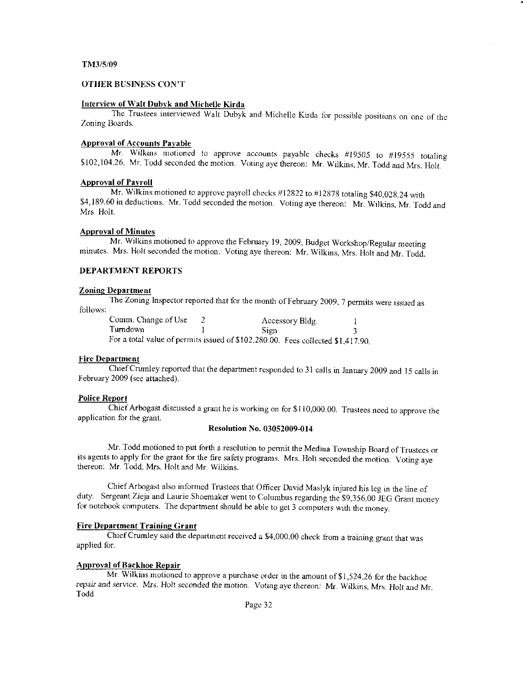#### TM3/5/09

# OTHER BUSTNESS CON'T

#### Interview of Walt Dubyk and Michelle Kirda

The Trustees interviewed Walt Dubyk and Michelle Kirda for possible positions on one of the Zoning Boards.

# ADproval of Accounts Payable

Mr. Wilkins motioned to approve accounts payable checks #19505 to #19555 totaling \$102,104.26. Mr. Todd seconded the motion. Voting aye thereon: Mr. Wilkins, Mr. Todd and Mrs. Holt.

#### Approval of Pavroll

Mr. Wilkins motioned to approve payroll checks #12822 to #12878 totaling \$40,028.24 with \$4,189.60 in deductions. Mr. Todd seconded the motion. Voting aye thereon: Mr. Wilkins. Mr. Todd and Mrs. Holt.

#### Approval of N{inutes

Mr. Wilkins motioned to approve the February 19, 2009, Budget Workshop/Regular meeting minutes. Mrs. Holt seconded the motion. Voting aye thereon: Mr. Wilkins, Mrs. Holt and Mr. Todd.

## DEPARTMENT REPORTS

#### Zoning Department

The Zoning Inspector reported that for the month of February 2009, 7 permits were issued as follows:

| Comm. Change of Use | Accessory Bldg.                                                                 |  |
|---------------------|---------------------------------------------------------------------------------|--|
| Tumdown             | Sign                                                                            |  |
|                     | For a total value of permits issued of \$102,280.00. Fees collected \$1,417.90. |  |

#### l'ire Department

Chief Crumley reported that the departrnent rcsponded to 31 catls in January 2009 and 15 calls in February 2009 (see attached).

#### Police Report

Chief Arbogast discussed a grant he is working on for \$110,000.00. Trustees need to approve the application for the grant.

### Resolution No. 03052009-014

Mr. Todd motioned to put forth a resolution to permit the Medina Township Board of Trustees or its agents to apply for the grant for the fire safety programs. Mrs. Holt seconded the motion. Voting ave thereon: Mr. Todd, Mrs. Holt and Mr. Wilkins.

Chief Arbogast also informed Trustees that Officer David Maslyk injured his leg in the line of duty. Sergeant Zieja and Laurie Shoemaker went to Columbus regarding the \$9,356.00 JEG Grant money for notebook computers. The department should be able to get 3 computers with the money.

### Fire Department Training Grant

Chief Crumley said the department received a \$4,000.00 check from a training grant that was applied for.

# **Approval of Backhoe Repair**

Mr. Wilkins motioned to approve a purchase order in the amount of  $$1,524.26$  for the backhoe repair and service. Mrs. Holt seconded the motion. Voting aye thereon: Mr. Wilkins, Mrs. Holt and Mr. Todd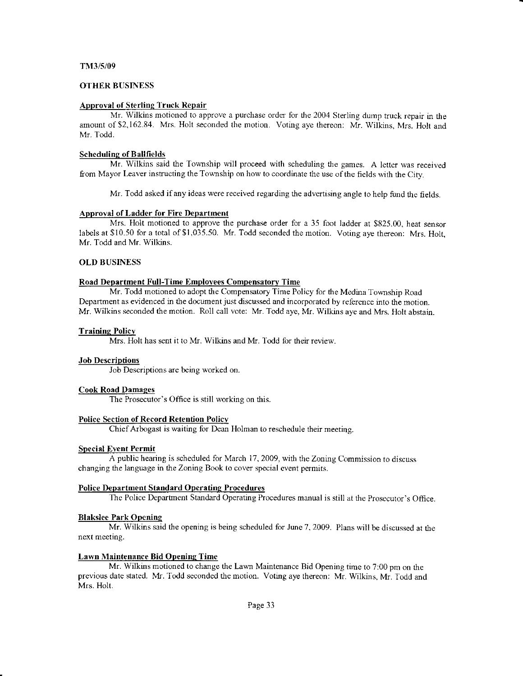#### TN{3/5/09

#### OTHER BUSINESS

### Approval of Sterling Truck Repair

Mr. Wilkins motioned to approve a purchase order for the 2004 Sterling dump truck repair in the amount of \$2,162.84. Mrs. Holt seconded the motion. Voting aye thereon: Mr. Wilkins, Mrs. Holt and Mr. Todd.

#### Scheduling of Ballfields

Mr. Wilkins said the Township will proceed with scheduling the games. A letter was received from Mayor Leaver instructing the Township on how to coordinate the use of the fields with the City.

Mr. Todd asked if any ideas were received regarding the advertising angle to help fund the fields.

#### Approval of Ladder for Fire Department

Mrs. Holt motioned to approve the purchase order for a 35 foot ladder at \$825.00. heat sensor labels at \$10.50 for a total of \$1,035.50. Mr. Todd seconded the motion. Voting aye thereon: Mrs. Holt, Mr. Todd and Mr. Wilkins.

#### OLD BUSINESS

### Road Department Full-Time Employees Compensatory Time

Mr. Todd motioned to adopt the Compensatory Time Policy for the Medina Township Road Department as evidenced in the document just discussed and incorporated by reference into the motion. Mr. Wilkins seconded the motion. Roll call vote: Mr. Todd aye, Mr. Wilkins aye and Mrs. Holt abstain.

#### **Training Policy**

Mrs. Holt has sent it to Mr. Wilkins and Mr. Todd for their review.

#### Job Descriptions

Job Descriptions are being worked on.

#### Cook Road Damaqes

The Prosecutor's Office is still working on this.

#### Police Section of Record Retention Policy

Chief Arbogast is waiting for Dean Holman to reschedule their meeting.

#### Special EYent Permit

A public hearing is scheduled for March 17.2009, with the Zoning Commission to discuss changing the language in the Zoning Book to cover spccial cvent permits.

#### Police Department Standard Operating Procedures

The Police Department Standard Operating Procedures manual is still at the Prosecutor's Office.

#### Blakslee Park Openinq

Mr. Wilkins said the opening is being scheduled for June 7.2009. Plans will be discussed at the next meeting.

#### Lawn Maintenance Bid Opening Time

Mr. Wilkins motioned to change the Lawn Maintenance Bid Opening time to ?:00 pm on the previous date stated. Mr. Todd seconded the motion. Voting aye thereon: Mr. Wilkins, Mr. Todd and Mrs. Holt.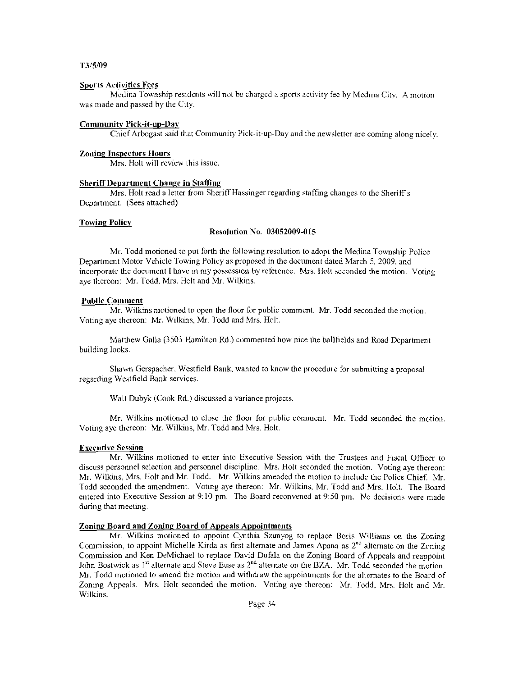#### T3/5/09

#### Sports Activities Fees

Medina Township residents will not be charged a sports activity fee by Medina City. A motion was made and passed by the City.

#### Communitv Pick-it-up-Day

Chief Arbogast said that Community Pick-it-up-Day and the newsletter are coming along nicely.

#### Zoning Inspectors Hours

Mrs. Holt will review this issue.

### **Sheriff Department Change in Staffing**

Mrs. Holt read a letter from Sheriff Hassinger regarding staffing changes to the Sheriff's Department. (Sees attached)

#### **Towing Policy**

#### Resolution No. 03052009-015

Mr. Jodd motioned to put forth the following resolution to adopt the Medina Township Po)ice Department Motor Vehicle Towing Policy as proposed in the document dated March 5, 2009, and incorporate the document I have in my possession by reference. Mrs. Holt seconded the motion. Voting aye thereon: Mr. Todd, Mrs. Holt and Mr. Wilkins.

#### Public Comment

Mr. Wilkins motioned to open the floor for public comment. Mr. Todd seconded the motion. Voting aye thereon: Mr. Wilkins, Mr. Todd and Mrs. Holt.

Matthew Galla (3503 Hamilton Rd.) commented how nice the ballfields and Road Department building looks.

Shawn Gerspacher. Westfield Bank. wanted to know the procedure for submitting a proposal regarding Westfield Bank services.

Walt Dubyk (Cook Rd.) discussed a variance projects.

Mr. Wilkins motioned to close the floor for public comment. Mr. Todd seconded the motion. Voting aye thereon: Mr. Wilkins, Mr. Todd and Mrs. Holt.

### Executive Session

Mr. Wilkins motioned to enter into Executive Session with the Trustees and Fiscal Oflicer to discuss personnel selection and personnel discipline. Mrs. Holt seconded the motion. Voting aye thereon: Mr. Wilkins, Mrs. Holt and Mr. Todd. Mr. Wilkins amended the motion to include the Police Chief. Mr. Todd seconded the amendment. Voting aye thereon: Mr. Wilkins, Mr. Todd and N{rs. Holt. The Board entered into Executive Session at 9:10 pm. Thc Board reconvened at 9:50 pm. No decisions were made during that meeting.

# Zoning Board and Zoning Board of Appeals Appointmcnts

Mr. Wilkins motioned to appoint Cynthia Szunyog to replace Boris Williams on the Zoning Commission, to appoint Michelle Kirda as first alternate and James Apana as 2<sup>nd</sup> alternate on the Zoning Commission and Ken DeMichael to replace David Dufala on dre Zoning Board of Appeals aad reappoint John Bostwick as 1<sup>st</sup> alternate and Steve Euse as 2<sup>nd</sup> alternate on the BZA. Mr. Todd seconded the motion. Mr. Todd motioned to amend tbe motion and withdraw the appoinnnents for the altemates to the Board of Zoning Appeals. Mrs. Holt seconded the motion. Voting aye thereon: Mr. Todd, Mrs. Holt and Mr. Wilkins.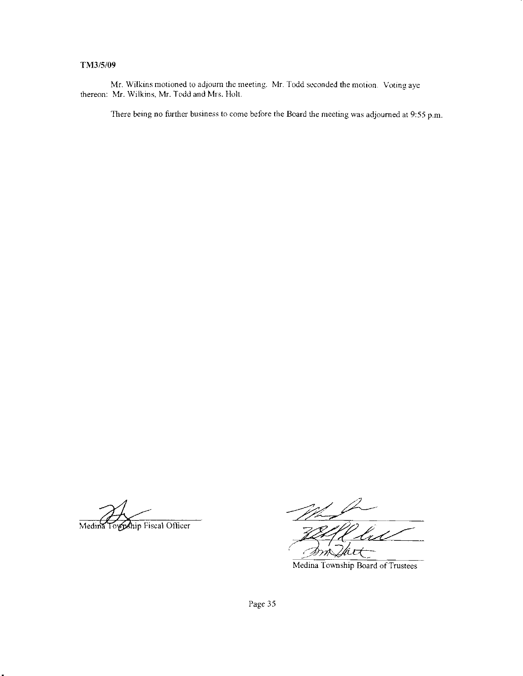# TNI3/5/09

Mr. Wilkins motioned to adjourn the meeting. Mr. Todd seconded the motion. Voting aye thereon: Mr. Wilkins, Mr. Todd and Mrs. Holt.

There being no further business to come before the Board the meeting was adjoumed at 9:55 p.m.

Medina Township Fiscal Officer

Viτ

Medina Township Board of Trustees

Page 35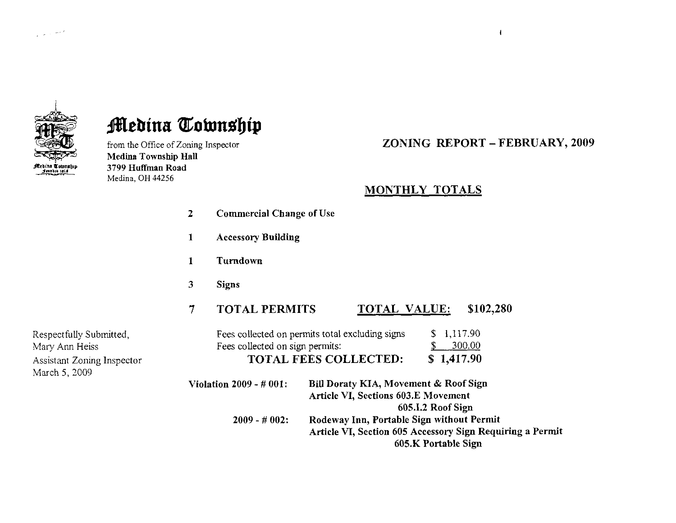

# **Medina Township**

from the Office of Zoning Inspector Medina Township Hall 3799 Huffman Road Medina, OH 44256

ZONING REPORT - FEBRUARY, 2OO9

 $\mathbf{I}$ 

# MONTHLY TOTALS

| $\overline{z}$ | <b>Commercial Change of Use</b> |                                                                                                                               |
|----------------|---------------------------------|-------------------------------------------------------------------------------------------------------------------------------|
| 1              | <b>Accessory Building</b>       |                                                                                                                               |
| 1              | Turndown                        |                                                                                                                               |
| 3              | <b>Signs</b>                    |                                                                                                                               |
| 7              | <b>TOTAL PERMITS</b>            | \$102,280<br>TOTAL VALUE:                                                                                                     |
|                | Fees collected on sign permits: | 1,117.90<br>Fees collected on permits total excluding signs<br>S.<br>300.00<br>\$1,417.90<br><b>TOTAL FEES COLLECTED:</b>     |
|                | Violation $2009 - #001$ :       | Bill Doraty KIA, Movement & Roof Sign<br>Article VI, Sections 603.E Movement<br>605.I.2 Roof Sign                             |
|                | $2009 - #002$ :                 | Rodeway Inn, Portable Sign without Permit<br>Article VI, Section 605 Accessory Sign Requiring a Permit<br>605.K Portable Sign |

Respectfully Submitted, Mary Ann Heiss Assistant Zoning Inspector March 5,2009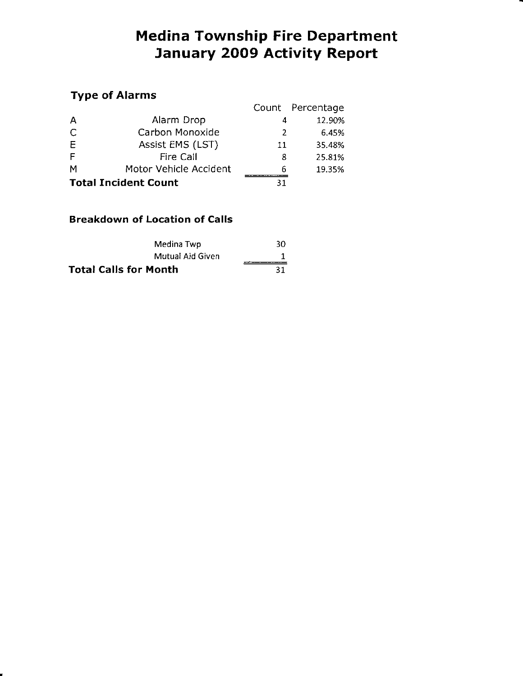# Medina Township Fire Department January 2OO9 Activity Report

# TYPe of Alarms

| TYPU VI MINITIN             |                        |    |                  |  |
|-----------------------------|------------------------|----|------------------|--|
|                             |                        |    | Count Percentage |  |
| A                           | Alarm Drop             | 4  | 12.90%           |  |
| C                           | Carbon Monoxide        | 2  | 6.45%            |  |
| E                           | Assist EMS (LST)       | 11 | 35.48%           |  |
| F                           | <b>Fire Call</b>       | 8  | 25.81%           |  |
| M                           | Motor Vehicle Accident | 6  | 19.35%           |  |
| <b>Total Incident Count</b> |                        | 31 |                  |  |

# Breakdown of Location of Calls

| Medina Twp                   | 30 |
|------------------------------|----|
| Mutual Aid Given             |    |
| <b>Total Calls for Month</b> | 31 |